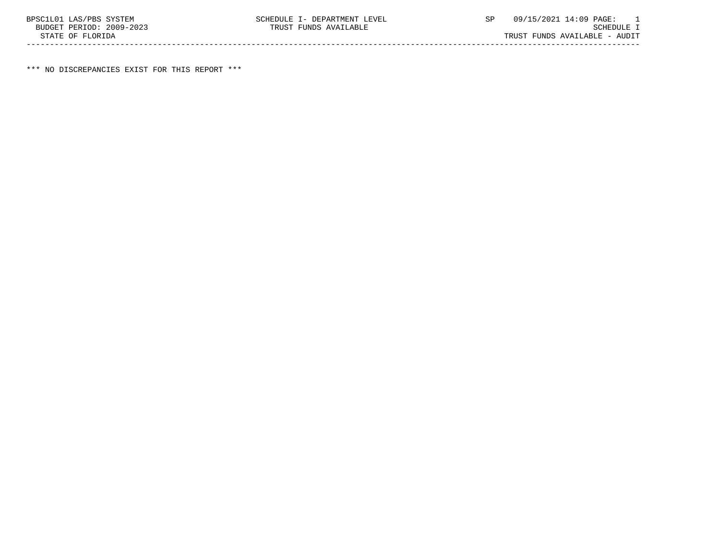\*\*\* NO DISCREPANCIES EXIST FOR THIS REPORT \*\*\*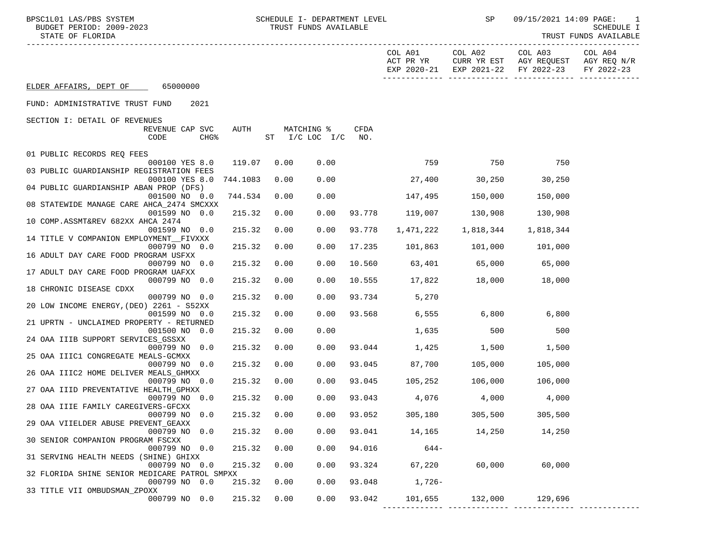| BPSC1L01 LAS/PBS SYSTEM<br>BUDGET PERIOD: 2009-2023<br>STATE OF FLORIDA |          |      | SCHEDULE I- DEPARTMENT LEVEL<br>TRUST FUNDS AVAILABLE |             |                      | <b>SP</b>            | 09/15/2021 14:09 PAGE:                                                               | 1<br>SCHEDULE I<br>TRUST FUNDS AVAILABLE |
|-------------------------------------------------------------------------|----------|------|-------------------------------------------------------|-------------|----------------------|----------------------|--------------------------------------------------------------------------------------|------------------------------------------|
|                                                                         |          |      |                                                       |             | COL A01<br>ACT PR YR | COL A02              | COL A03<br>CURR YR EST AGY REQUEST AGY REQ N/R<br>EXP 2020-21 EXP 2021-22 FY 2022-23 | COL A04<br>FY 2022-23                    |
| ELDER AFFAIRS, DEPT OF 65000000                                         |          |      |                                                       |             |                      |                      |                                                                                      |                                          |
| 2021<br>FUND: ADMINISTRATIVE TRUST FUND                                 |          |      |                                                       |             |                      |                      |                                                                                      |                                          |
| SECTION I: DETAIL OF REVENUES                                           |          |      |                                                       |             |                      |                      |                                                                                      |                                          |
| REVENUE CAP SVC<br>CODE<br>CHG <sup>8</sup>                             | AUTH     |      | MATCHING %<br>ST I/C LOC I/C                          | CFDA<br>NO. |                      |                      |                                                                                      |                                          |
| 01 PUBLIC RECORDS REQ FEES                                              |          |      |                                                       |             |                      |                      |                                                                                      |                                          |
| 000100 YES 8.0                                                          | 119.07   | 0.00 | 0.00                                                  |             | 759                  | 750                  | 750                                                                                  |                                          |
| 03 PUBLIC GUARDIANSHIP REGISTRATION FEES                                |          |      |                                                       |             |                      |                      |                                                                                      |                                          |
| 000100 YES 8.0<br>04 PUBLIC GUARDIANSHIP ABAN PROP (DFS)                | 744.1083 | 0.00 | 0.00                                                  |             | 27,400               | 30, 250              | 30,250                                                                               |                                          |
| 001500 NO 0.0                                                           | 744.534  | 0.00 | 0.00                                                  |             | 147,495              | 150,000              | 150,000                                                                              |                                          |
| 08 STATEWIDE MANAGE CARE AHCA_2474 SMCXXX<br>001599 NO 0.0              | 215.32   | 0.00 | 0.00                                                  | 93.778      | 119,007              | 130,908              | 130,908                                                                              |                                          |
| 10 COMP.ASSMT&REV 682XX AHCA 2474<br>001599 NO 0.0                      | 215.32   | 0.00 | 0.00                                                  | 93.778      | 1,471,222            | 1,818,344            | 1,818,344                                                                            |                                          |
| 14 TITLE V COMPANION EMPLOYMENT FIVXXX                                  |          |      |                                                       |             |                      |                      |                                                                                      |                                          |
| 000799 NO 0.0<br>16 ADULT DAY CARE FOOD PROGRAM USFXX                   | 215.32   | 0.00 | 0.00                                                  | 17.235      | 101,863 101,000      |                      | 101,000                                                                              |                                          |
| 000799 NO 0.0                                                           | 215.32   | 0.00 | 0.00                                                  | 10.560      |                      | 63,401 65,000 65,000 |                                                                                      |                                          |
| 17 ADULT DAY CARE FOOD PROGRAM UAFXX                                    |          |      |                                                       |             |                      |                      |                                                                                      |                                          |
| 000799 NO 0.0<br>18 CHRONIC DISEASE CDXX                                | 215.32   | 0.00 | 0.00                                                  | 10.555      | 17,822 18,000 18,000 |                      |                                                                                      |                                          |
| 000799 NO 0.0                                                           | 215.32   | 0.00 | 0.00                                                  | 93.734      | 5,270                |                      |                                                                                      |                                          |
| 20 LOW INCOME ENERGY, (DEO) 2261 - S52XX<br>001599 NO 0.0               | 215.32   | 0.00 | 0.00                                                  | 93.568      |                      | 6,555 6,800 6,800    |                                                                                      |                                          |
| 21 UPRTN - UNCLAIMED PROPERTY - RETURNED                                |          |      |                                                       |             |                      |                      |                                                                                      |                                          |
| 001500 NO 0.0<br>24 OAA IIIB SUPPORT SERVICES GSSXX                     | 215.32   | 0.00 | 0.00                                                  |             |                      | 1,635<br>500         | 500                                                                                  |                                          |
| 000799 NO 0.0                                                           | 215.32   | 0.00 | 0.00                                                  |             | 93.044 1,425 1,500   |                      | 1,500                                                                                |                                          |
| 25 OAA IIIC1 CONGREGATE MEALS-GCMXX                                     |          |      |                                                       |             |                      |                      |                                                                                      |                                          |
| 000799 NO 0.0<br>26 OAA IIIC2 HOME DELIVER MEALS_GHMXX                  | 215.32   | 0.00 | 0.00                                                  | 93.045      | 87,700               | 105,000              | 105,000                                                                              |                                          |
| 000799 NO 0.0                                                           | 215.32   | 0.00 | 0.00                                                  |             | 93.045 105,252       | 106,000              | 106,000                                                                              |                                          |
| 27 OAA IIID PREVENTATIVE HEALTH GPHXX<br>000799 NO 0.0                  | 215.32   | 0.00 | 0.00                                                  | 93.043      | 4,076                | 4,000                | 4,000                                                                                |                                          |
| 28 OAA IIIE FAMILY CAREGIVERS-GFCXX                                     |          |      |                                                       |             |                      |                      |                                                                                      |                                          |
| 000799 NO<br>0.0<br>29 OAA VIIELDER ABUSE PREVENT GEAXX                 | 215.32   | 0.00 | 0.00                                                  | 93.052      | 305,180              | 305,500              | 305,500                                                                              |                                          |
| 000799 NO 0.0                                                           | 215.32   | 0.00 | 0.00                                                  | 93.041      | 14,165               | 14,250               | 14,250                                                                               |                                          |
| 30 SENIOR COMPANION PROGRAM FSCXX<br>000799 NO 0.0                      | 215.32   | 0.00 | 0.00                                                  | 94.016      | $644-$               |                      |                                                                                      |                                          |
| 31 SERVING HEALTH NEEDS (SHINE) GHIXX<br>000799 NO 0.0                  | 215.32   | 0.00 | 0.00                                                  | 93.324      | 67,220               | 60,000               | 60,000                                                                               |                                          |
| 32 FLORIDA SHINE SENIOR MEDICARE PATROL SMPXX                           |          |      |                                                       |             |                      |                      |                                                                                      |                                          |
| 000799 NO 0.0<br>33 TITLE VII OMBUDSMAN_ZPOXX                           | 215.32   | 0.00 | 0.00                                                  | 93.048      | 1,726-               |                      |                                                                                      |                                          |
| 000799 NO 0.0                                                           | 215.32   | 0.00 | 0.00                                                  | 93.042      | 101,655              | 132,000              | 129,696                                                                              |                                          |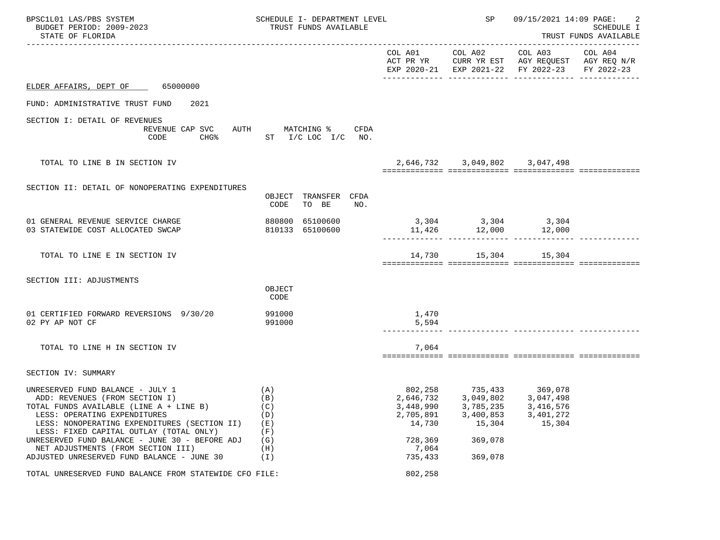| BPSC1L01 LAS/PBS SYSTEM<br>BUDGET PERIOD: 2009-2023<br>STATE OF FLORIDA                                                                                                                                                                                                                                                                                                        | SCHEDULE I- DEPARTMENT LEVEL<br>TRUST FUNDS AVAILABLE       |                                                                                         | SP and the set of the set of the set of the set of the set of the set of the set of the set of the set of the set of the set of the set of the set of the set of the set of the set of the set of the set of the set of the se | 09/15/2021 14:09 PAGE:<br>SCHEDULE I<br>TRUST FUNDS AVAILABLE                                  |                       |  |
|--------------------------------------------------------------------------------------------------------------------------------------------------------------------------------------------------------------------------------------------------------------------------------------------------------------------------------------------------------------------------------|-------------------------------------------------------------|-----------------------------------------------------------------------------------------|--------------------------------------------------------------------------------------------------------------------------------------------------------------------------------------------------------------------------------|------------------------------------------------------------------------------------------------|-----------------------|--|
|                                                                                                                                                                                                                                                                                                                                                                                |                                                             |                                                                                         | COL A01 COL A02                                                                                                                                                                                                                | COL A03<br>ACT PR YR CURR YR EST AGY REQUEST AGY REQ N/R<br>EXP 2020-21 EXP 2021-22 FY 2022-23 | COL A04<br>FY 2022-23 |  |
| ELDER AFFAIRS, DEPT OF 65000000                                                                                                                                                                                                                                                                                                                                                |                                                             |                                                                                         |                                                                                                                                                                                                                                |                                                                                                |                       |  |
| FUND: ADMINISTRATIVE TRUST FUND<br>2021                                                                                                                                                                                                                                                                                                                                        |                                                             |                                                                                         |                                                                                                                                                                                                                                |                                                                                                |                       |  |
| SECTION I: DETAIL OF REVENUES<br>REVENUE CAP SVC<br>CODE                                                                                                                                                                                                                                                                                                                       | AUTH<br>MATCHING %<br>CFDA<br>CHG% ST I/C LOC I/C NO.       |                                                                                         |                                                                                                                                                                                                                                |                                                                                                |                       |  |
| TOTAL TO LINE B IN SECTION IV                                                                                                                                                                                                                                                                                                                                                  |                                                             |                                                                                         | 2,646,732 3,049,802 3,047,498                                                                                                                                                                                                  |                                                                                                |                       |  |
| SECTION II: DETAIL OF NONOPERATING EXPENDITURES                                                                                                                                                                                                                                                                                                                                | TRANSFER CFDA<br>OBJECT<br>TO BE<br>CODE<br>NO.             |                                                                                         |                                                                                                                                                                                                                                |                                                                                                |                       |  |
| 01 GENERAL REVENUE SERVICE CHARGE<br>03 STATEWIDE COST ALLOCATED SWCAP                                                                                                                                                                                                                                                                                                         | 880800 65100600<br>810133 65100600                          |                                                                                         | $3,304$ $3,304$ $3,304$ $3,304$<br>11,426 $12,000$ $12,000$                                                                                                                                                                    |                                                                                                |                       |  |
| TOTAL TO LINE E IN SECTION IV                                                                                                                                                                                                                                                                                                                                                  |                                                             |                                                                                         | 14,730 15,304 15,304                                                                                                                                                                                                           |                                                                                                |                       |  |
| SECTION III: ADJUSTMENTS                                                                                                                                                                                                                                                                                                                                                       | OBJECT<br>CODE                                              |                                                                                         |                                                                                                                                                                                                                                |                                                                                                |                       |  |
| 01 CERTIFIED FORWARD REVERSIONS 9/30/20<br>02 PY AP NOT CF                                                                                                                                                                                                                                                                                                                     | 991000<br>991000                                            | 1,470<br>5,594                                                                          |                                                                                                                                                                                                                                |                                                                                                |                       |  |
| TOTAL TO LINE H IN SECTION IV                                                                                                                                                                                                                                                                                                                                                  |                                                             | 7,064                                                                                   |                                                                                                                                                                                                                                |                                                                                                |                       |  |
| SECTION IV: SUMMARY                                                                                                                                                                                                                                                                                                                                                            |                                                             |                                                                                         |                                                                                                                                                                                                                                |                                                                                                |                       |  |
| UNRESERVED FUND BALANCE - JULY 1<br>ADD: REVENUES (FROM SECTION I)<br>TOTAL FUNDS AVAILABLE (LINE A + LINE B)<br>LESS: OPERATING EXPENDITURES<br>LESS: NONOPERATING EXPENDITURES (SECTION II)<br>LESS: FIXED CAPITAL OUTLAY (TOTAL ONLY)<br>UNRESERVED FUND BALANCE - JUNE 30 - BEFORE ADJ<br>NET ADJUSTMENTS (FROM SECTION III)<br>ADJUSTED UNRESERVED FUND BALANCE - JUNE 30 | (A)<br>(B)<br>(C)<br>(D)<br>(E)<br>(F)<br>(G)<br>(H)<br>(I) | 802,258<br>2,646,732<br>3,448,990<br>2,705,891<br>14,730<br>728,369<br>7,064<br>735,433 | 3,785,235<br>3,400,853<br>15,304<br>369,078<br>369,078                                                                                                                                                                         | 735,433 369,078<br>3,049,802 3,047,498<br>3,416,576<br>3,401,272<br>15,304                     |                       |  |
| TOTAL UNRESERVED FUND BALANCE FROM STATEWIDE CFO FILE:                                                                                                                                                                                                                                                                                                                         |                                                             | 802,258                                                                                 |                                                                                                                                                                                                                                |                                                                                                |                       |  |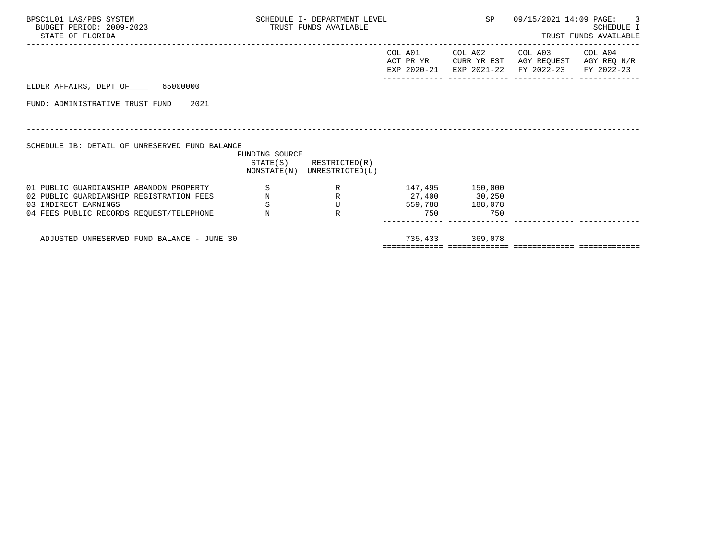| BPSC1L01 LAS/PBS SYSTEM<br>BUDGET PERIOD: 2009-2023<br>STATE OF FLORIDA | SCHEDULE I- DEPARTMENT LEVEL<br>TRUST FUNDS AVAILABLE |                                                            |                   |                 | SP 09/15/2021 14:09 PAGE: 3                                                                                                       | <b>SCHEDULE I</b><br>TRUST FUNDS AVAILABLE |
|-------------------------------------------------------------------------|-------------------------------------------------------|------------------------------------------------------------|-------------------|-----------------|-----------------------------------------------------------------------------------------------------------------------------------|--------------------------------------------|
|                                                                         |                                                       |                                                            |                   |                 | COL A01 COL A02 COL A03 COL A04<br>ACT PR YR CURR YR EST AGY REQUEST AGY REQ N/R<br>EXP 2020-21 EXP 2021-22 FY 2022-23 FY 2022-23 |                                            |
| ELDER AFFAIRS, DEPT OF 65000000                                         |                                                       |                                                            |                   |                 |                                                                                                                                   |                                            |
| FUND: ADMINISTRATIVE TRUST FUND 2021                                    |                                                       |                                                            |                   |                 |                                                                                                                                   |                                            |
|                                                                         |                                                       |                                                            |                   |                 |                                                                                                                                   |                                            |
| SCHEDULE IB: DETAIL OF UNRESERVED FUND BALANCE                          | FUNDING SOURCE                                        |                                                            |                   |                 |                                                                                                                                   |                                            |
|                                                                         |                                                       | $STATE(S)$ RESTRICTED $(R)$<br>NONSTATE(N) UNRESTRICTED(U) |                   |                 |                                                                                                                                   |                                            |
| 01 PUBLIC GUARDIANSHIP ABANDON PROPERTY                                 | S                                                     |                                                            | R 147,495 150,000 |                 |                                                                                                                                   |                                            |
| 02 PUBLIC GUARDIANSHIP REGISTRATION FEES                                | $\, {\rm N}$                                          | R 27,400 30,250                                            |                   |                 |                                                                                                                                   |                                            |
| 03 INDIRECT EARNINGS                                                    | S                                                     | U                                                          |                   | 559,788 188,078 |                                                                                                                                   |                                            |
| 04 FEES PUBLIC RECORDS REOUEST/TELEPHONE                                | $_{\rm N}$                                            | $\mathbb{R}$                                               | 750               | 750             |                                                                                                                                   |                                            |
| ADJUSTED UNRESERVED FUND BALANCE - JUNE 30                              |                                                       |                                                            |                   | 735,433 369,078 |                                                                                                                                   |                                            |
|                                                                         |                                                       |                                                            |                   |                 |                                                                                                                                   |                                            |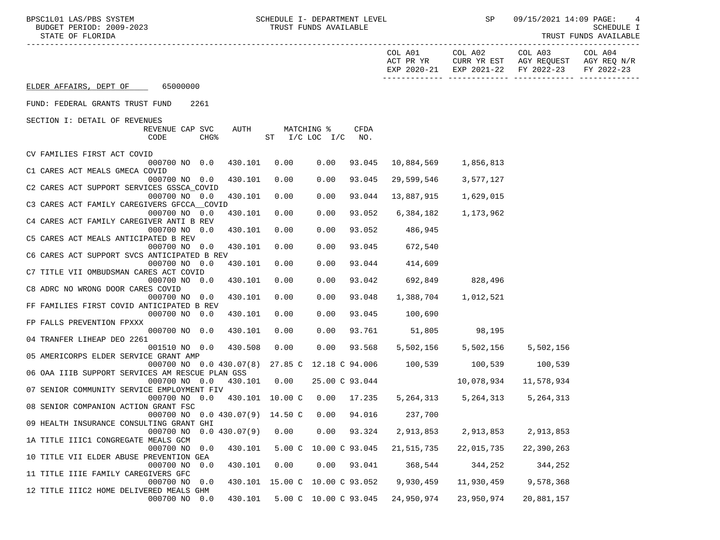BPSC1L01 LAS/PBS SYSTEM SOHEDULE I- DEPARTMENT LEVEL SENE SP 09/15/2021 14:09 PAGE: 4<br>BUDGET PERIOD: 2009-2023 TRUST FUNDS AVAILABLE

STATE OF FLORIDA TRUST FUNDS AVAILABLE

|                                                                                                                 | COL A01<br>ACT PR YR | COL A02                             | COL A03<br>CURR YR EST AGY REQUEST AGY REQ N/R<br>EXP 2020-21 EXP 2021-22 FY 2022-23 | COL A04<br>FY 2022-23 |
|-----------------------------------------------------------------------------------------------------------------|----------------------|-------------------------------------|--------------------------------------------------------------------------------------|-----------------------|
| ELDER AFFAIRS, DEPT OF 65000000                                                                                 |                      |                                     |                                                                                      |                       |
| FUND: FEDERAL GRANTS TRUST FUND<br>2261                                                                         |                      |                                     |                                                                                      |                       |
| SECTION I: DETAIL OF REVENUES                                                                                   |                      |                                     |                                                                                      |                       |
| REVENUE CAP SVC<br>AUTH<br>MATCHING %<br>CFDA<br>CHG <sup>8</sup><br>ST I/C LOC I/C NO.<br>CODE                 |                      |                                     |                                                                                      |                       |
| CV FAMILIES FIRST ACT COVID                                                                                     |                      |                                     |                                                                                      |                       |
| 000700 NO 0.0<br>430.101<br>0.00<br>0.00<br>93.045<br>C1 CARES ACT MEALS GMECA COVID                            | 10,884,569           | 1,856,813                           |                                                                                      |                       |
| 0.00<br>93.045<br>000700 NO 0.0<br>430.101<br>0.00                                                              | 29,599,546           | 3,577,127                           |                                                                                      |                       |
| C2 CARES ACT SUPPORT SERVICES GSSCA COVID                                                                       |                      |                                     |                                                                                      |                       |
| 430.101<br>0.00<br>0.00<br>000700 NO 0.0<br>93.044<br>C3 CARES ACT FAMILY CAREGIVERS GFCCA COVID                | 13,887,915           | 1,629,015                           |                                                                                      |                       |
| 93.052<br>000700 NO 0.0<br>430.101<br>0.00<br>0.00                                                              | 6,384,182            | 1,173,962                           |                                                                                      |                       |
| C4 CARES ACT FAMILY CAREGIVER ANTI B REV                                                                        |                      |                                     |                                                                                      |                       |
| 93.052<br>000700 NO 0.0<br>430.101<br>0.00<br>0.00<br>C5 CARES ACT MEALS ANTICIPATED B REV                      | 486,945              |                                     |                                                                                      |                       |
| 430.101<br>0.00<br>0.00<br>000700 NO 0.0<br>93.045                                                              | 672,540              |                                     |                                                                                      |                       |
| C6 CARES ACT SUPPORT SVCS ANTICIPATED B REV                                                                     |                      |                                     |                                                                                      |                       |
| 93.044<br>000700 NO 0.0<br>430.101<br>0.00<br>0.00                                                              | 414,609              |                                     |                                                                                      |                       |
| C7 TITLE VII OMBUDSMAN CARES ACT COVID<br>0.00<br>000700 NO 0.0<br>430.101<br>0.00<br>93.042                    | 692,849              | 828,496                             |                                                                                      |                       |
| C8 ADRC NO WRONG DOOR CARES COVID                                                                               |                      |                                     |                                                                                      |                       |
| 0.00<br>0.00<br>93.048<br>000700 NO 0.0<br>430.101                                                              | 1,388,704            | 1,012,521                           |                                                                                      |                       |
| FF FAMILIES FIRST COVID ANTICIPATED B REV                                                                       |                      |                                     |                                                                                      |                       |
| 0.00<br>0.00<br>000700 NO 0.0<br>430.101<br>FP FALLS PREVENTION FPXXX                                           | 93.045 100,690       |                                     |                                                                                      |                       |
| 000700 NO 0.0<br>430.101<br>0.00<br>0.00                                                                        | 93.761 51,805 98,195 |                                     |                                                                                      |                       |
| 04 TRANFER LIHEAP DEO 2261                                                                                      |                      |                                     |                                                                                      |                       |
| 430.508<br>0.00<br>$0.00$ 93.568<br>001510 NO 0.0                                                               |                      | 5,502,156 5,502,156 5,502,156       |                                                                                      |                       |
| 05 AMERICORPS ELDER SERVICE GRANT AMP<br>000700 NO 0.0 430.07(8) 27.85 C 12.18 C 94.006 100,539 100,539 100,539 |                      |                                     |                                                                                      |                       |
| 06 OAA IIIB SUPPORT SERVICES AM RESCUE PLAN GSS                                                                 |                      |                                     |                                                                                      |                       |
| 000700 NO 0.0 430.101 0.00 25.00 C 93.044                                                                       |                      | 10,078,934                          | 11,578,934                                                                           |                       |
| 07 SENIOR COMMUNITY SERVICE EMPLOYMENT FIV                                                                      |                      |                                     |                                                                                      |                       |
| 000700 NO 0.0 430.101 10.00 C 0.00 17.235<br>08 SENIOR COMPANION ACTION GRANT FSC                               |                      | 5, 264, 313 5, 264, 313 5, 264, 313 |                                                                                      |                       |
| 000700 NO 0.0 430.07(9) 14.50 C 0.00 94.016 237,700                                                             |                      |                                     |                                                                                      |                       |
| 09 HEALTH INSURANCE CONSULTING GRANT GHI                                                                        |                      |                                     |                                                                                      |                       |
| 000700 NO 0.0 430.07(9) 0.00 0.00 93.324 2,913,853 2,913,853 2,913,853                                          |                      |                                     |                                                                                      |                       |
| 1A TITLE IIIC1 CONGREGATE MEALS GCM<br>5.00 C 10.00 C 93.045<br>000700 NO<br>430.101<br>0.0                     | 21,515,735           | 22,015,735                          | 22,390,263                                                                           |                       |
| 10 TITLE VII ELDER ABUSE PREVENTION GEA                                                                         |                      |                                     |                                                                                      |                       |
| 0.00<br>0.00<br>000700 NO<br>0.0<br>430.101<br>93.041                                                           | 368,544              | 344,252                             | 344,252                                                                              |                       |
| 11 TITLE IIIE FAMILY CAREGIVERS GFC                                                                             |                      |                                     |                                                                                      |                       |
| 430.101 15.00 C 10.00 C 93.052<br>000700 NO<br>0.0<br>12 TITLE IIIC2 HOME DELIVERED MEALS GHM                   | 9,930,459            | 11,930,459                          | 9,578,368                                                                            |                       |
| 430.101   5.00   0   10.00   0   93.045   24,950,974<br>000700 NO 0.0                                           |                      | 23,950,974                          | 20,881,157                                                                           |                       |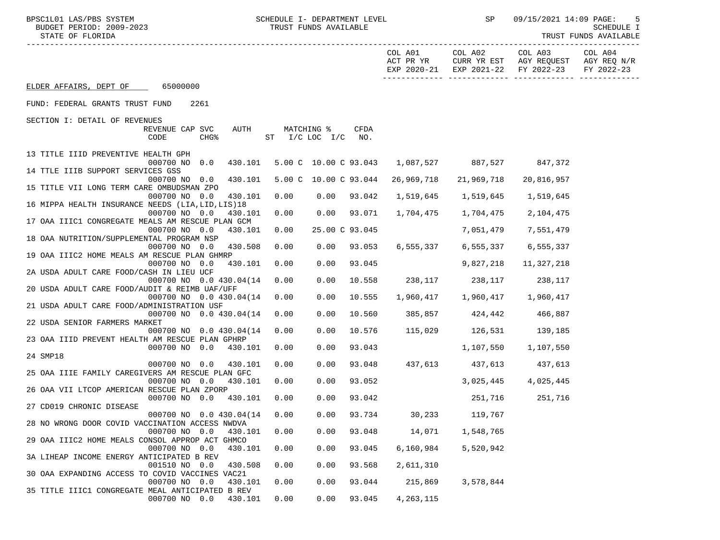BPSC1L01 LAS/PBS SYSTEM SOME SOME SCHEDULE I- DEPARTMENT LEVEL SENEMBER 199/15/2021 14:09 PAGE: 5<br>BUDGET PERIOD: 2009-2023 SCHEDULE I SAN TRUST FUNDS AVAILABLE

-----------------------------------------------------------------------------------------------------------------------------------

STATE OF FLORIDA TRUST FUNDS AVAILABLE

|                                                    |                          |                  |         |                |            |                       | COL A01<br>ACT PR YR<br>EXP 2020-21 | COL A02<br>CURR YR EST<br>EXP 2021-22 | COL A03<br>AGY REQUEST<br>FY 2022-23 | COL A04<br>AGY REQ N/R<br>FY 2022-23 |
|----------------------------------------------------|--------------------------|------------------|---------|----------------|------------|-----------------------|-------------------------------------|---------------------------------------|--------------------------------------|--------------------------------------|
| ELDER AFFAIRS, DEPT OF                             | 65000000                 |                  |         |                |            |                       | ------------- ---                   |                                       |                                      |                                      |
| FUND: FEDERAL GRANTS TRUST FUND                    |                          | 2261             |         |                |            |                       |                                     |                                       |                                      |                                      |
|                                                    |                          |                  |         |                |            |                       |                                     |                                       |                                      |                                      |
| SECTION I: DETAIL OF REVENUES                      | REVENUE CAP SVC          |                  | AUTH    |                | MATCHING % | <b>CFDA</b>           |                                     |                                       |                                      |                                      |
|                                                    | CODE                     | CHG <sup>8</sup> |         | ST I/C LOC I/C |            | NO.                   |                                     |                                       |                                      |                                      |
| 13 TITLE IIID PREVENTIVE HEALTH GPH                |                          |                  |         |                |            |                       |                                     |                                       |                                      |                                      |
| 14 TTLE IIIB SUPPORT SERVICES GSS                  | 000700 NO 0.0            |                  | 430.101 |                |            | 5.00 C 10.00 C 93.043 |                                     | 1,087,527 887,527                     | 847,372                              |                                      |
|                                                    | 000700 NO 0.0            |                  | 430.101 |                |            | 5.00 C 10.00 C 93.044 | 26,969,718                          | 21,969,718                            | 20,816,957                           |                                      |
| 15 TITLE VII LONG TERM CARE OMBUDSMAN ZPO          |                          |                  |         |                |            |                       |                                     |                                       |                                      |                                      |
|                                                    | 000700 NO 0.0            |                  | 430.101 | 0.00           | 0.00       | 93.042                | 1,519,645                           | 1,519,645                             | 1,519,645                            |                                      |
| 16 MIPPA HEALTH INSURANCE NEEDS (LIA, LID, LIS) 18 |                          |                  |         |                |            |                       |                                     |                                       |                                      |                                      |
|                                                    | 000700 NO 0.0            |                  | 430.101 | 0.00           | 0.00       | 93.071                | 1,704,475                           | 1,704,475                             | 2,104,475                            |                                      |
| 17 OAA IIIC1 CONGREGATE MEALS AM RESCUE PLAN GCM   | 000700 NO 0.0            |                  | 430.101 | 0.00           |            | 25.00 C 93.045        |                                     | 7,051,479                             | 7,551,479                            |                                      |
| 18 OAA NUTRITION/SUPPLEMENTAL PROGRAM NSP          |                          |                  |         |                |            |                       |                                     |                                       |                                      |                                      |
|                                                    | 000700 NO 0.0            |                  | 430.508 | 0.00           | 0.00       | 93.053                | 6,555,337                           | 6,555,337                             | 6,555,337                            |                                      |
| 19 OAA IIIC2 HOME MEALS AM RESCUE PLAN GHMRP       |                          |                  |         |                |            |                       |                                     |                                       |                                      |                                      |
|                                                    | 000700 NO 0.0            |                  | 430.101 | 0.00           | 0.00       | 93.045                |                                     | 9,827,218                             | 11,327,218                           |                                      |
| 2A USDA ADULT CARE FOOD/CASH IN LIEU UCF           |                          |                  |         |                |            |                       |                                     |                                       |                                      |                                      |
|                                                    | 000700 NO 0.0 430.04(14) |                  |         | 0.00           | 0.00       | 10.558                |                                     | 238, 117 238, 117                     | 238,117                              |                                      |
| 20 USDA ADULT CARE FOOD/AUDIT & REIMB UAF/UFF      | 000700 NO 0.0 430.04(14) |                  |         | 0.00           | 0.00       | 10.555                | 1,960,417                           | 1,960,417                             | 1,960,417                            |                                      |
| 21 USDA ADULT CARE FOOD/ADMINISTRATION USF         |                          |                  |         |                |            |                       |                                     |                                       |                                      |                                      |
|                                                    | 000700 NO 0.0 430.04(14) |                  |         | 0.00           | 0.00       | 10.560                | 385,857                             | 424,442                               | 466,887                              |                                      |
| 22 USDA SENIOR FARMERS MARKET                      |                          |                  |         |                |            |                       |                                     |                                       |                                      |                                      |
|                                                    | 000700 NO 0.0 430.04(14) |                  |         | 0.00           | 0.00       | 10.576                |                                     | 115,029 126,531                       | 139,185                              |                                      |
| 23 OAA IIID PREVENT HEALTH AM RESCUE PLAN GPHRP    |                          |                  |         |                |            |                       |                                     |                                       |                                      |                                      |
| 24 SMP18                                           | 000700 NO 0.0            |                  | 430.101 | 0.00           | 0.00       | 93.043                |                                     | 1,107,550                             | 1,107,550                            |                                      |
|                                                    | 000700 NO 0.0            |                  | 430.101 | 0.00           | 0.00       | 93.048                |                                     | 437,613 437,613                       | 437,613                              |                                      |
| 25 OAA IIIE FAMILY CAREGIVERS AM RESCUE PLAN GFC   |                          |                  |         |                |            |                       |                                     |                                       |                                      |                                      |
|                                                    | 000700 NO 0.0            |                  | 430.101 | 0.00           | 0.00       | 93.052                |                                     | 3,025,445                             | 4,025,445                            |                                      |
| 26 OAA VII LTCOP AMERICAN RESCUE PLAN ZPORP        |                          |                  |         |                |            |                       |                                     |                                       |                                      |                                      |
|                                                    | 000700 NO 0.0            |                  | 430.101 | 0.00           | 0.00       | 93.042                |                                     | 251,716                               | 251,716                              |                                      |
| 27 CD019 CHRONIC DISEASE                           |                          |                  |         |                |            |                       |                                     |                                       |                                      |                                      |
|                                                    | 000700 NO 0.0 430.04(14) |                  |         | 0.00           | 0.00       | 93.734                |                                     | 30,233 119,767                        |                                      |                                      |
| 28 NO WRONG DOOR COVID VACCINATION ACCESS NWDVA    | 000700 NO 0.0            |                  | 430.101 | 0.00           | 0.00       | 93.048                | 14,071                              | 1,548,765                             |                                      |                                      |
| 29 OAA IIIC2 HOME MEALS CONSOL APPROP ACT GHMCO    |                          |                  |         |                |            |                       |                                     |                                       |                                      |                                      |
|                                                    | 000700 NO 0.0            |                  | 430.101 | 0.00           | 0.00       | 93.045                | 6,160,984                           | 5,520,942                             |                                      |                                      |
| 3A LIHEAP INCOME ENERGY ANTICIPATED B REV          |                          |                  |         |                |            |                       |                                     |                                       |                                      |                                      |
|                                                    | 001510 NO 0.0            |                  | 430.508 | 0.00           | 0.00       | 93.568                | 2,611,310                           |                                       |                                      |                                      |
| 30 OAA EXPANDING ACCESS TO COVID VACCINES VAC21    |                          |                  |         |                |            |                       |                                     |                                       |                                      |                                      |
|                                                    | 000700 NO 0.0            |                  | 430.101 | 0.00           | 0.00       | 93.044                | 215,869                             | 3,578,844                             |                                      |                                      |
| 35 TITLE IIIC1 CONGREGATE MEAL ANTICIPATED B REV   | 000700 NO 0.0            |                  | 430.101 | 0.00           | 0.00       | 93.045                | 4, 263, 115                         |                                       |                                      |                                      |
|                                                    |                          |                  |         |                |            |                       |                                     |                                       |                                      |                                      |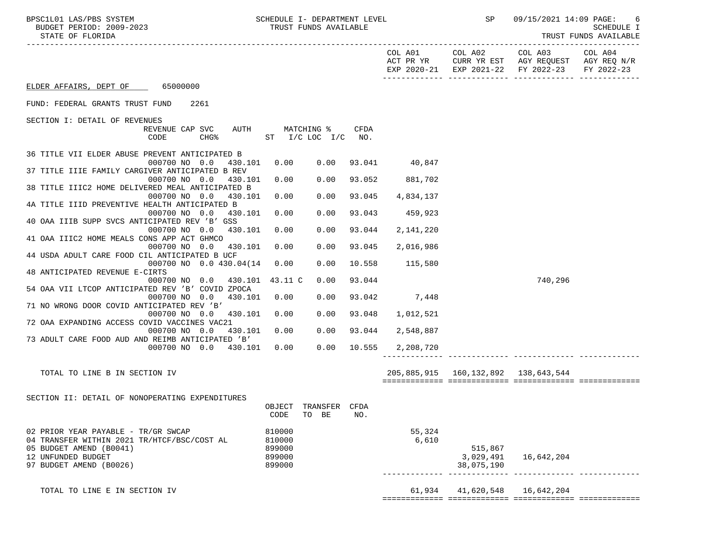| STATE OF FLORIDA                                                                   |                  |                                  |             |                      |                                       |                                                              | TRUST FUNDS AVAILABLE |
|------------------------------------------------------------------------------------|------------------|----------------------------------|-------------|----------------------|---------------------------------------|--------------------------------------------------------------|-----------------------|
|                                                                                    |                  |                                  |             | COL A01<br>ACT PR YR | COL A02<br>EXP 2020-21 EXP 2021-22    | COL A03<br>CURR YR EST AGY REQUEST AGY REQ N/R<br>FY 2022-23 | COL A04<br>FY 2022-23 |
| ELDER AFFAIRS, DEPT OF 65000000                                                    |                  |                                  |             |                      |                                       |                                                              |                       |
| FUND: FEDERAL GRANTS TRUST FUND<br>2261                                            |                  |                                  |             |                      |                                       |                                                              |                       |
| SECTION I: DETAIL OF REVENUES<br>AUTH<br>REVENUE CAP SVC<br>CODE<br>CHG%           |                  | MATCHING %<br>ST I/C LOC I/C NO. | <b>CFDA</b> |                      |                                       |                                                              |                       |
| 36 TITLE VII ELDER ABUSE PREVENT ANTICIPATED B<br>000700 NO 0.0<br>430.101         | 0.00             | 0.00                             |             | 93.041 40,847        |                                       |                                                              |                       |
| 37 TITLE IIIE FAMILY CARGIVER ANTICIPATED B REV<br>000700 NO 0.0<br>430.101        | 0.00             | 0.00                             | 93.052      | 881,702              |                                       |                                                              |                       |
| 38 TITLE IIIC2 HOME DELIVERED MEAL ANTICIPATED B                                   |                  |                                  |             |                      |                                       |                                                              |                       |
| 000700 NO 0.0<br>430.101<br>4A TITLE IIID PREVENTIVE HEALTH ANTICIPATED B          | 0.00             | 0.00                             | 93.045      | 4,834,137            |                                       |                                                              |                       |
| 000700 NO 0.0<br>430.101<br>40 OAA IIIB SUPP SVCS ANTICIPATED REV 'B' GSS          | 0.00             | 0.00                             | 93.043      | 459.923              |                                       |                                                              |                       |
| 000700 NO 0.0<br>430.101                                                           | 0.00             | 0.00                             | 93.044      | 2,141,220            |                                       |                                                              |                       |
| 41 OAA IIIC2 HOME MEALS CONS APP ACT GHMCO<br>000700 NO 0.0 430.101                | 0.00             | 0.00                             | 93.045      | 2,016,986            |                                       |                                                              |                       |
| 44 USDA ADULT CARE FOOD CIL ANTICIPATED B UCF<br>000700 NO 0.0 430.04(14)          | 0.00             | 0.00                             | 10.558      | 115,580              |                                       |                                                              |                       |
| 48 ANTICIPATED REVENUE E-CIRTS                                                     |                  |                                  |             |                      |                                       |                                                              |                       |
| 000700 NO 0.0 430.101<br>54 OAA VII LTCOP ANTICIPATED REV 'B' COVID ZPOCA          | 43.11 C          | 0.00                             | 93.044      |                      |                                       | 740,296                                                      |                       |
| 000700 NO 0.0<br>430.101<br>71 NO WRONG DOOR COVID ANTICIPATED REV 'B'             | 0.00             | 0.00                             | 93.042      | 7,448                |                                       |                                                              |                       |
| 000700 NO 0.0 430.101                                                              | 0.00             | 0.00                             | 93.048      | 1,012,521            |                                       |                                                              |                       |
| 72 OAA EXPANDING ACCESS COVID VACCINES VAC21<br>000700 NO 0.0<br>430.101           | 0.00             | 0.00                             | 93.044      | 2,548,887            |                                       |                                                              |                       |
| 73 ADULT CARE FOOD AUD AND REIMB ANTICIPATED 'B'<br>000700 NO 0.0 430.101          | 0.00             | 0.00                             | 10.555      | 2,208,720            |                                       |                                                              |                       |
| TOTAL TO LINE B IN SECTION IV                                                      |                  |                                  |             |                      | 205,885,915  160,132,892  138,643,544 |                                                              |                       |
|                                                                                    |                  |                                  |             |                      |                                       |                                                              |                       |
| SECTION II: DETAIL OF NONOPERATING EXPENDITURES                                    |                  |                                  |             |                      |                                       |                                                              |                       |
|                                                                                    | OBJECT<br>CODE   | TRANSFER<br>TO BE                | CFDA<br>NO. |                      |                                       |                                                              |                       |
| 02 PRIOR YEAR PAYABLE - TR/GR SWCAP<br>04 TRANSFER WITHIN 2021 TR/HTCF/BSC/COST AL | 810000<br>810000 |                                  |             | 55,324<br>6,610      |                                       |                                                              |                       |
| 05 BUDGET AMEND (B0041)                                                            | 899000           |                                  |             |                      | 515,867                               |                                                              |                       |
| 12 UNFUNDED BUDGET<br>97 BUDGET AMEND (B0026)                                      | 899000<br>899000 |                                  |             |                      | 3,029,491<br>38,075,190               | 16,642,204                                                   |                       |
| TOTAL TO LINE E IN SECTION IV                                                      |                  |                                  |             |                      | 61,934 41,620,548 16,642,204          |                                                              |                       |

============= ============= ============= =============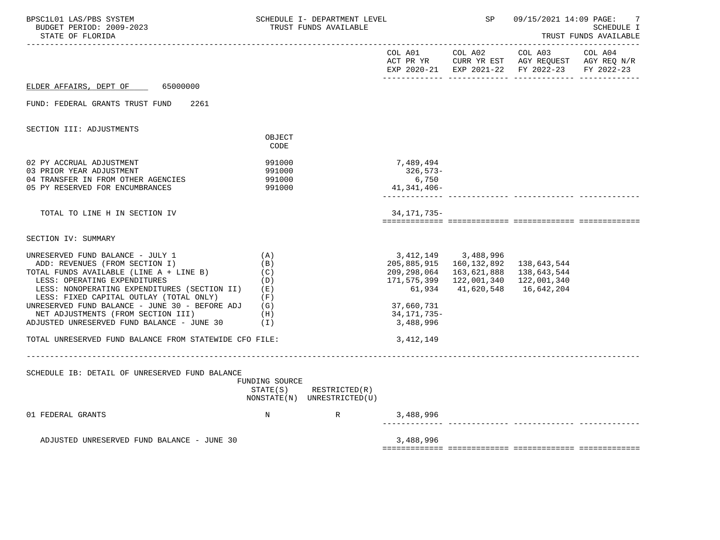| BPSC1L01 LAS/PBS SYSTEM<br>BUDGET PERIOD: 2009-2023<br>STATE OF FLORIDA                                                                                                                                                                                                                                                                                                                                                                  |                                                               | SCHEDULE I- DEPARTMENT LEVEL<br>TRUST FUNDS AVAILABLE |                                                                                             | SP                                                                                             | 09/15/2021 14:09 PAGE:                                                                                                         | 7<br><b>SCHEDULE I</b><br>TRUST FUNDS AVAILABLE |
|------------------------------------------------------------------------------------------------------------------------------------------------------------------------------------------------------------------------------------------------------------------------------------------------------------------------------------------------------------------------------------------------------------------------------------------|---------------------------------------------------------------|-------------------------------------------------------|---------------------------------------------------------------------------------------------|------------------------------------------------------------------------------------------------|--------------------------------------------------------------------------------------------------------------------------------|-------------------------------------------------|
|                                                                                                                                                                                                                                                                                                                                                                                                                                          |                                                               |                                                       |                                                                                             | COL A01 COL A02                                                                                | COL A03<br>ACT PR YR $\,$ CURR YR EST $\,$ AGY REQUEST $\,$ AGY REQ $\rm N/R$<br>EXP 2020-21 EXP 2021-22 FY 2022-23 FY 2022-23 | COL A04                                         |
| ELDER AFFAIRS, DEPT OF 65000000                                                                                                                                                                                                                                                                                                                                                                                                          |                                                               |                                                       |                                                                                             |                                                                                                |                                                                                                                                |                                                 |
| FUND: FEDERAL GRANTS TRUST FUND<br>2261                                                                                                                                                                                                                                                                                                                                                                                                  |                                                               |                                                       |                                                                                             |                                                                                                |                                                                                                                                |                                                 |
| SECTION III: ADJUSTMENTS                                                                                                                                                                                                                                                                                                                                                                                                                 |                                                               |                                                       |                                                                                             |                                                                                                |                                                                                                                                |                                                 |
|                                                                                                                                                                                                                                                                                                                                                                                                                                          | OBJECT<br>CODE                                                |                                                       |                                                                                             |                                                                                                |                                                                                                                                |                                                 |
| 02 PY ACCRUAL ADJUSTMENT<br>03 PRIOR YEAR ADJUSTMENT<br>04 TRANSFER IN FROM OTHER AGENCIES<br>05 PY RESERVED FOR ENCUMBRANCES                                                                                                                                                                                                                                                                                                            | 991000<br>991000<br>991000<br>991000                          |                                                       | 7,489,494<br>326,573-<br>6,750<br>41,341,406-<br>-------------                              |                                                                                                |                                                                                                                                |                                                 |
| TOTAL TO LINE H IN SECTION IV                                                                                                                                                                                                                                                                                                                                                                                                            |                                                               |                                                       | 34, 171, 735-                                                                               |                                                                                                |                                                                                                                                |                                                 |
| SECTION IV: SUMMARY                                                                                                                                                                                                                                                                                                                                                                                                                      |                                                               |                                                       |                                                                                             |                                                                                                |                                                                                                                                |                                                 |
| UNRESERVED FUND BALANCE - JULY 1<br>ADD: REVENUES (FROM SECTION I)<br>TOTAL FUNDS AVAILABLE (LINE A + LINE B)<br>LESS: OPERATING EXPENDITURES<br>LESS: NONOPERATING EXPENDITURES (SECTION II)<br>LESS: FIXED CAPITAL OUTLAY (TOTAL ONLY)<br>UNRESERVED FUND BALANCE - JUNE 30 - BEFORE ADJ<br>NET ADJUSTMENTS (FROM SECTION III)<br>ADJUSTED UNRESERVED FUND BALANCE - JUNE 30<br>TOTAL UNRESERVED FUND BALANCE FROM STATEWIDE CFO FILE: | (A)<br>(B)<br>(C)<br>(D)<br>( E )<br>(F)<br>(G)<br>(H)<br>(T) |                                                       | 209,298,064<br>171,575,399<br>61,934<br>37,660,731<br>34,171,735-<br>3,488,996<br>3,412,149 | 3, 412, 149 3, 488, 996<br>205,885,915 160,132,892<br>163,621,888<br>122,001,340<br>41,620,548 | 138,643,544<br>138,643,544<br>122,001,340<br>16,642,204                                                                        |                                                 |
| SCHEDULE IB: DETAIL OF UNRESERVED FUND BALANCE                                                                                                                                                                                                                                                                                                                                                                                           | FUNDING SOURCE<br>STATE(S)                                    | RESTRICTED(R)<br>NONSTATE(N) UNRESTRICTED(U)          |                                                                                             |                                                                                                |                                                                                                                                |                                                 |
| 01 FEDERAL GRANTS                                                                                                                                                                                                                                                                                                                                                                                                                        | $_{\rm N}$                                                    | R                                                     | 3,488,996                                                                                   |                                                                                                |                                                                                                                                |                                                 |
| ADJUSTED UNRESERVED FUND BALANCE - JUNE 30                                                                                                                                                                                                                                                                                                                                                                                               |                                                               |                                                       | 3,488,996                                                                                   |                                                                                                |                                                                                                                                |                                                 |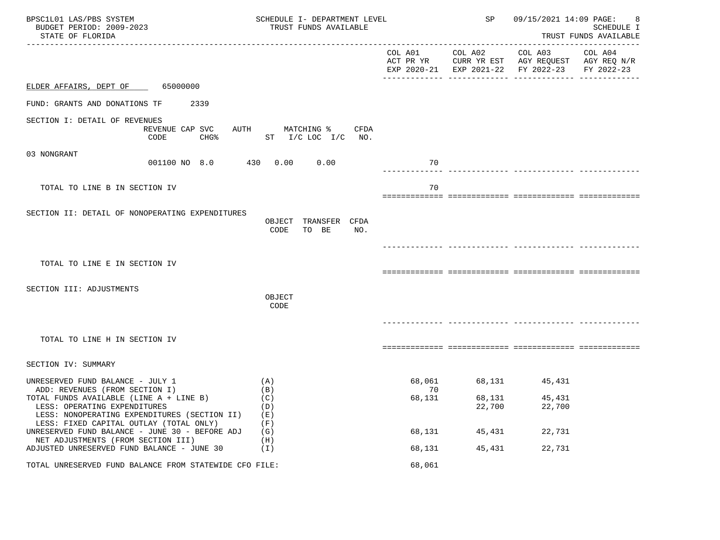| BPSC1L01 LAS/PBS SYSTEM<br>BUDGET PERIOD: 2009-2023<br>STATE OF FLORIDA                                                                                            | SCHEDULE I- DEPARTMENT LEVEL<br>TRUST FUNDS AVAILABLE | SP     | 09/15/2021 14:09 PAGE:<br><b>SCHEDULE I</b><br>TRUST FUNDS AVAILABLE |                                                                                                |                       |
|--------------------------------------------------------------------------------------------------------------------------------------------------------------------|-------------------------------------------------------|--------|----------------------------------------------------------------------|------------------------------------------------------------------------------------------------|-----------------------|
|                                                                                                                                                                    |                                                       |        | COL A01 COL A02                                                      | COL A03<br>ACT PR YR CURR YR EST AGY REQUEST AGY REQ N/R<br>EXP 2020-21 EXP 2021-22 FY 2022-23 | COL A04<br>FY 2022-23 |
| ELDER AFFAIRS, DEPT OF 65000000                                                                                                                                    |                                                       |        |                                                                      |                                                                                                |                       |
| FUND: GRANTS AND DONATIONS TF<br>2339                                                                                                                              |                                                       |        |                                                                      |                                                                                                |                       |
| SECTION I: DETAIL OF REVENUES<br>REVENUE CAP SVC<br>CODE<br>$CHG\$                                                                                                 | AUTH<br>CFDA<br>MATCHING %<br>ST I/C LOC I/C NO.      |        |                                                                      |                                                                                                |                       |
| 03 NONGRANT<br>001100 NO 8.0 430 0.00                                                                                                                              | 0.00                                                  | 70     |                                                                      |                                                                                                |                       |
| TOTAL TO LINE B IN SECTION IV                                                                                                                                      |                                                       | 70     |                                                                      |                                                                                                |                       |
| SECTION II: DETAIL OF NONOPERATING EXPENDITURES                                                                                                                    | OBJECT TRANSFER CFDA<br>CODE<br>TO BE<br>NO.          |        |                                                                      |                                                                                                |                       |
| TOTAL TO LINE E IN SECTION IV                                                                                                                                      |                                                       |        |                                                                      |                                                                                                |                       |
|                                                                                                                                                                    |                                                       |        |                                                                      |                                                                                                |                       |
| SECTION III: ADJUSTMENTS                                                                                                                                           | OBJECT<br>CODE                                        |        |                                                                      |                                                                                                |                       |
| TOTAL TO LINE H IN SECTION IV                                                                                                                                      |                                                       |        |                                                                      |                                                                                                |                       |
| SECTION IV: SUMMARY                                                                                                                                                |                                                       |        |                                                                      |                                                                                                |                       |
| UNRESERVED FUND BALANCE - JULY 1<br>ADD: REVENUES (FROM SECTION I)                                                                                                 | (A)<br>(B)                                            | 70     | 68,061 68,131 45,431                                                 |                                                                                                |                       |
| TOTAL FUNDS AVAILABLE (LINE A + LINE B)<br>LESS: OPERATING EXPENDITURES<br>LESS: NONOPERATING EXPENDITURES (SECTION II)<br>LESS: FIXED CAPITAL OUTLAY (TOTAL ONLY) | (C)<br>(D)<br>(E)<br>(F)                              | 68,131 | 68,131<br>22,700                                                     | 45,431<br>22,700                                                                               |                       |
| UNRESERVED FUND BALANCE - JUNE 30 - BEFORE ADJ<br>NET ADJUSTMENTS (FROM SECTION III)                                                                               | (G)<br>(H)                                            | 68,131 | 45,431                                                               | 22,731                                                                                         |                       |
| ADJUSTED UNRESERVED FUND BALANCE - JUNE 30                                                                                                                         | (I)                                                   | 68,131 | 45,431                                                               | 22,731                                                                                         |                       |
| TOTAL UNRESERVED FUND BALANCE FROM STATEWIDE CFO FILE:                                                                                                             |                                                       | 68,061 |                                                                      |                                                                                                |                       |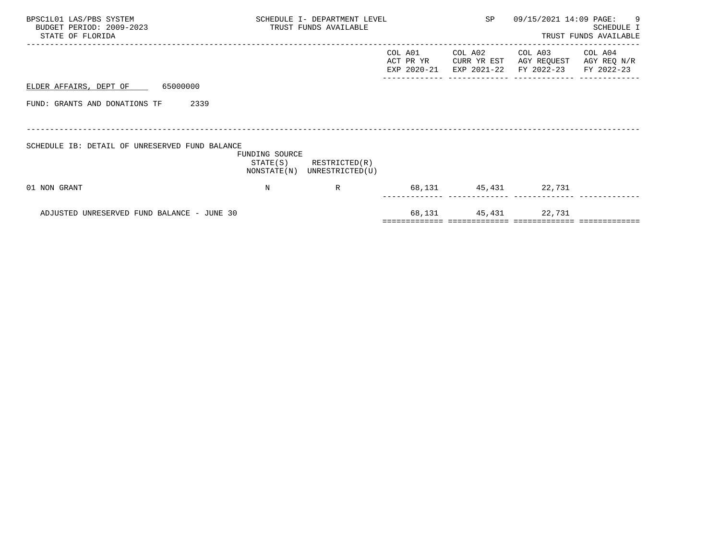| BPSC1L01 LAS/PBS SYSTEM<br>BUDGET PERIOD: 2009-2023<br>STATE OF FLORIDA | SCHEDULE I- DEPARTMENT LEVEL<br>TRUST FUNDS AVAILABLE |                                  | SP                                  | 09/15/2021 14:09 PAGE:                | $\overline{9}$<br>SCHEDULE I<br>TRUST FUNDS AVAILABLE |                                      |
|-------------------------------------------------------------------------|-------------------------------------------------------|----------------------------------|-------------------------------------|---------------------------------------|-------------------------------------------------------|--------------------------------------|
|                                                                         |                                                       |                                  | COL A01<br>ACT PR YR<br>EXP 2020-21 | COL A02<br>CURR YR EST<br>EXP 2021-22 | COL A03<br>AGY REQUEST<br>FY 2022-23                  | COL A04<br>AGY REQ N/R<br>FY 2022-23 |
| 65000000<br>ELDER AFFAIRS, DEPT OF                                      |                                                       |                                  |                                     |                                       |                                                       |                                      |
| FUND: GRANTS AND DONATIONS TF<br>2339                                   |                                                       |                                  |                                     |                                       |                                                       |                                      |
|                                                                         |                                                       |                                  |                                     |                                       |                                                       |                                      |
| SCHEDULE IB: DETAIL OF UNRESERVED FUND BALANCE                          | FUNDING SOURCE<br>STATE(S)<br>NONSTATE(N)             | RESTRICTED(R)<br>UNRESTRICTED(U) |                                     |                                       |                                                       |                                      |
| 01 NON GRANT                                                            | N                                                     | R                                |                                     |                                       | 68,131 45,431 22,731                                  |                                      |
| ADJUSTED UNRESERVED FUND BALANCE - JUNE 30                              |                                                       |                                  |                                     | 68, 131 45, 431 22, 731               |                                                       |                                      |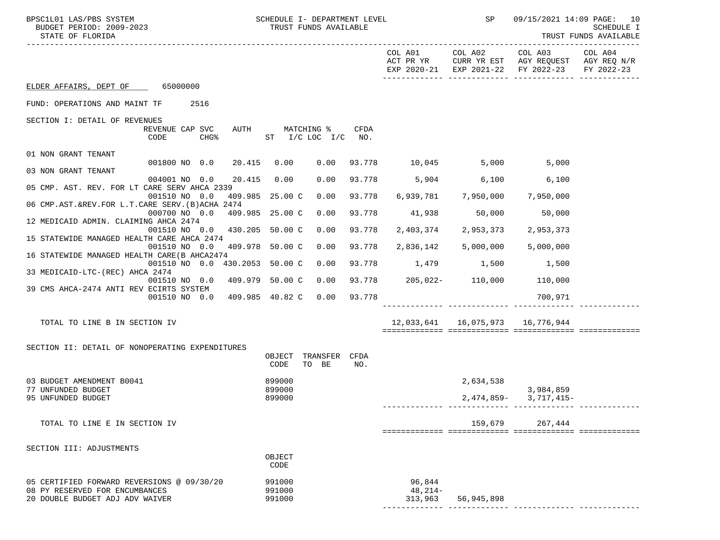| BPSC1L01 LAS/PBS SYSTEM<br>BUDGET PERIOD: 2009-2023<br>STATE OF FLORIDA                                         | SCHEDULE I- DEPARTMENT LEVEL<br>TRUST FUNDS AVAILABLE |             |                                       | <b>SP</b> SP            |                                                                                      | 09/15/2021 14:09 PAGE: 10<br>SCHEDULE I<br>TRUST FUNDS AVAILABLE |
|-----------------------------------------------------------------------------------------------------------------|-------------------------------------------------------|-------------|---------------------------------------|-------------------------|--------------------------------------------------------------------------------------|------------------------------------------------------------------|
|                                                                                                                 |                                                       |             | ACT PR YR                             | COL A01 COL A02 COL A03 | CURR YR EST AGY REQUEST AGY REQ N/R<br>EXP 2020-21 EXP 2021-22 FY 2022-23 FY 2022-23 | COL A04                                                          |
| ELDER AFFAIRS, DEPT OF 65000000                                                                                 |                                                       |             |                                       |                         |                                                                                      |                                                                  |
| 2516<br>FUND: OPERATIONS AND MAINT TF                                                                           |                                                       |             |                                       |                         |                                                                                      |                                                                  |
| SECTION I: DETAIL OF REVENUES<br>REVENUE CAP SVC<br>CODE<br>CHG <sup>8</sup>                                    | AUTH MATCHING %<br>ST I/C LOC I/C                     | CFDA<br>NO. |                                       |                         |                                                                                      |                                                                  |
| 01 NON GRANT TENANT                                                                                             |                                                       |             |                                       |                         |                                                                                      |                                                                  |
| 001800 NO 0.0<br>03 NON GRANT TENANT                                                                            | 20.415 0.00<br>0.00                                   |             | 93.778 10,045 5,000                   |                         | 5,000                                                                                |                                                                  |
| 004001 NO 0.0<br>05 CMP. AST. REV. FOR LT CARE SERV AHCA 2339                                                   | 20.415<br>0.00<br>0.00                                | 93.778      | 5,904 6,100                           |                         | 6,100                                                                                |                                                                  |
| 001510 NO 0.0<br>06 CMP.AST.&REV.FOR L.T.CARE SERV. (B)ACHA 2474                                                | 409.985 25.00 C<br>0.00                               | 93.778      | 6,939,781                             | 7,950,000               | 7,950,000                                                                            |                                                                  |
| 000700 NO 0.0 409.985 25.00 C                                                                                   | 0.00                                                  | 93.778      | 41,938                                | 50,000                  | 50,000                                                                               |                                                                  |
| 12 MEDICAID ADMIN. CLAIMING AHCA 2474<br>001510 NO 0.0 430.205 50.00 C                                          | 0.00                                                  | 93.778      | 2,403,374                             | 2,953,373               | 2,953,373                                                                            |                                                                  |
| 15 STATEWIDE MANAGED HEALTH CARE AHCA 2474<br>001510 NO 0.0                                                     | 409.978 50.00 C<br>0.00                               | 93.778      | 2,836,142                             | 5,000,000               | 5,000,000                                                                            |                                                                  |
| 16 STATEWIDE MANAGED HEALTH CARE (B AHCA2474<br>001510 NO 0.0 430.2053 50.00 C                                  | 0.00                                                  | 93.778      | 1,479 1,500                           |                         | 1,500                                                                                |                                                                  |
| 33 MEDICAID-LTC-(REC) AHCA 2474<br>001510 NO 0.0 409.979 50.00 C                                                | 0.00                                                  |             | 93.778   205,022-   110,000   110,000 |                         |                                                                                      |                                                                  |
| 39 CMS AHCA-2474 ANTI REV ECIRTS SYSTEM                                                                         |                                                       |             |                                       |                         |                                                                                      |                                                                  |
| 001510 NO 0.0                                                                                                   | 409.985 40.82 C<br>0.00                               | 93.778      |                                       |                         | 700,971                                                                              |                                                                  |
| TOTAL TO LINE B IN SECTION IV                                                                                   |                                                       |             | 12,033,641  16,075,973  16,776,944    |                         |                                                                                      |                                                                  |
| SECTION II: DETAIL OF NONOPERATING EXPENDITURES                                                                 | TRANSFER CFDA<br>OBJECT                               |             |                                       |                         |                                                                                      |                                                                  |
|                                                                                                                 | TO BE<br>CODE                                         | NO.         |                                       |                         |                                                                                      |                                                                  |
| 03 BUDGET AMENDMENT B0041<br>77 UNFUNDED BUDGET                                                                 | 899000<br>899000                                      |             |                                       | 2,634,538               | 3,984,859                                                                            |                                                                  |
| 95 UNFUNDED BUDGET                                                                                              | 899000                                                |             |                                       | 2,474,859-              | 3,717,415-                                                                           |                                                                  |
| TOTAL TO LINE E IN SECTION IV                                                                                   |                                                       |             |                                       | 159,679                 | 267,444                                                                              |                                                                  |
| SECTION III: ADJUSTMENTS                                                                                        |                                                       |             |                                       |                         |                                                                                      |                                                                  |
|                                                                                                                 | OBJECT<br>CODE                                        |             |                                       |                         |                                                                                      |                                                                  |
| 05 CERTIFIED FORWARD REVERSIONS @ 09/30/20<br>08 PY RESERVED FOR ENCUMBANCES<br>20 DOUBLE BUDGET ADJ ADV WAIVER | 991000<br>991000<br>991000                            |             | 96,844<br>$48, 214-$<br>313,963       | 56,945,898              |                                                                                      |                                                                  |
|                                                                                                                 |                                                       |             |                                       |                         |                                                                                      |                                                                  |